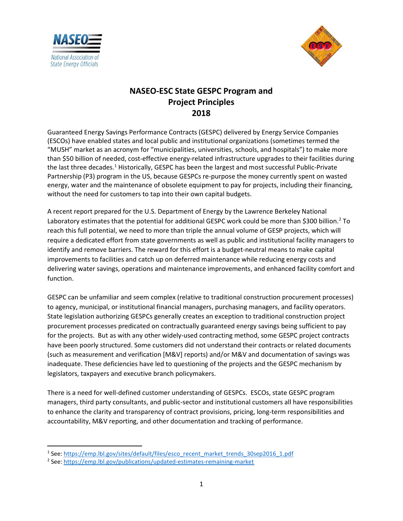



## NASEO-ESC State GESPC Program and Project Principles 2018

Guaranteed Energy Savings Performance Contracts (GESPC) delivered by Energy Service Companies (ESCOs) have enabled states and local public and institutional organizations (sometimes termed the "MUSH" market as an acronym for "municipalities, universities, schools, and hospitals") to make more than \$50 billion of needed, cost-effective energy-related infrastructure upgrades to their facilities during the last three decades.<sup>1</sup> Historically, GESPC has been the largest and most successful Public-Private Partnership (P3) program in the US, because GESPCs re-purpose the money currently spent on wasted energy, water and the maintenance of obsolete equipment to pay for projects, including their financing, without the need for customers to tap into their own capital budgets.

A recent report prepared for the U.S. Department of Energy by the Lawrence Berkeley National Laboratory estimates that the potential for additional GESPC work could be more than \$300 billion.<sup>2</sup> To reach this full potential, we need to more than triple the annual volume of GESP projects, which will require a dedicated effort from state governments as well as public and institutional facility managers to identify and remove barriers. The reward for this effort is a budget-neutral means to make capital improvements to facilities and catch up on deferred maintenance while reducing energy costs and delivering water savings, operations and maintenance improvements, and enhanced facility comfort and function.

GESPC can be unfamiliar and seem complex (relative to traditional construction procurement processes) to agency, municipal, or institutional financial managers, purchasing managers, and facility operators. State legislation authorizing GESPCs generally creates an exception to traditional construction project procurement processes predicated on contractually guaranteed energy savings being sufficient to pay for the projects. But as with any other widely-used contracting method, some GESPC project contracts have been poorly structured. Some customers did not understand their contracts or related documents (such as measurement and verification [M&V] reports) and/or M&V and documentation of savings was inadequate. These deficiencies have led to questioning of the projects and the GESPC mechanism by legislators, taxpayers and executive branch policymakers.

There is a need for well-defined customer understanding of GESPCs. ESCOs, state GESPC program managers, third party consultants, and public-sector and institutional customers all have responsibilities to enhance the clarity and transparency of contract provisions, pricing, long-term responsibilities and accountability, M&V reporting, and other documentation and tracking of performance.

<sup>&</sup>lt;sup>1</sup> See: https://emp.lbl.gov/sites/default/files/esco\_recent\_market\_trends\_30sep2016\_1.pdf

<sup>&</sup>lt;sup>2</sup> See: https://emp.lbl.gov/publications/updated-estimates-remaining-market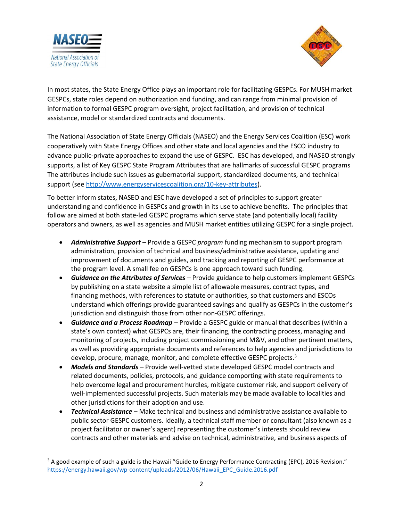



In most states, the State Energy Office plays an important role for facilitating GESPCs. For MUSH market GESPCs, state roles depend on authorization and funding, and can range from minimal provision of information to formal GESPC program oversight, project facilitation, and provision of technical assistance, model or standardized contracts and documents.

The National Association of State Energy Officials (NASEO) and the Energy Services Coalition (ESC) work cooperatively with State Energy Offices and other state and local agencies and the ESCO industry to advance public-private approaches to expand the use of GESPC. ESC has developed, and NASEO strongly supports, a list of Key GESPC State Program Attributes that are hallmarks of successful GESPC programs The attributes include such issues as gubernatorial support, standardized documents, and technical support (see http://www.energyservicescoalition.org/10-key-attributes).

To better inform states, NASEO and ESC have developed a set of principles to support greater understanding and confidence in GESPCs and growth in its use to achieve benefits. The principles that follow are aimed at both state-led GESPC programs which serve state (and potentially local) facility operators and owners, as well as agencies and MUSH market entities utilizing GESPC for a single project.

- Administrative Support Provide a GESPC program funding mechanism to support program administration, provision of technical and business/administrative assistance, updating and improvement of documents and guides, and tracking and reporting of GESPC performance at the program level. A small fee on GESPCs is one approach toward such funding.
- Guidance on the Attributes of Services Provide guidance to help customers implement GESPCs by publishing on a state website a simple list of allowable measures, contract types, and financing methods, with references to statute or authorities, so that customers and ESCOs understand which offerings provide guaranteed savings and qualify as GESPCs in the customer's jurisdiction and distinguish those from other non-GESPC offerings.
- Guidance and a Process Roadmap Provide a GESPC guide or manual that describes (within a state's own context) what GESPCs are, their financing, the contracting process, managing and monitoring of projects, including project commissioning and M&V, and other pertinent matters, as well as providing appropriate documents and references to help agencies and jurisdictions to develop, procure, manage, monitor, and complete effective GESPC projects.<sup>3</sup>
- Models and Standards Provide well-vetted state developed GESPC model contracts and related documents, policies, protocols, and guidance comporting with state requirements to help overcome legal and procurement hurdles, mitigate customer risk, and support delivery of well-implemented successful projects. Such materials may be made available to localities and other jurisdictions for their adoption and use.
- Technical Assistance Make technical and business and administrative assistance available to public sector GESPC customers. Ideally, a technical staff member or consultant (also known as a project facilitator or owner's agent) representing the customer's interests should review contracts and other materials and advise on technical, administrative, and business aspects of

 $3$  A good example of such a guide is the Hawaii "Guide to Energy Performance Contracting (EPC), 2016 Revision." https://energy.hawaii.gov/wp-content/uploads/2012/06/Hawaii\_EPC\_Guide.2016.pdf